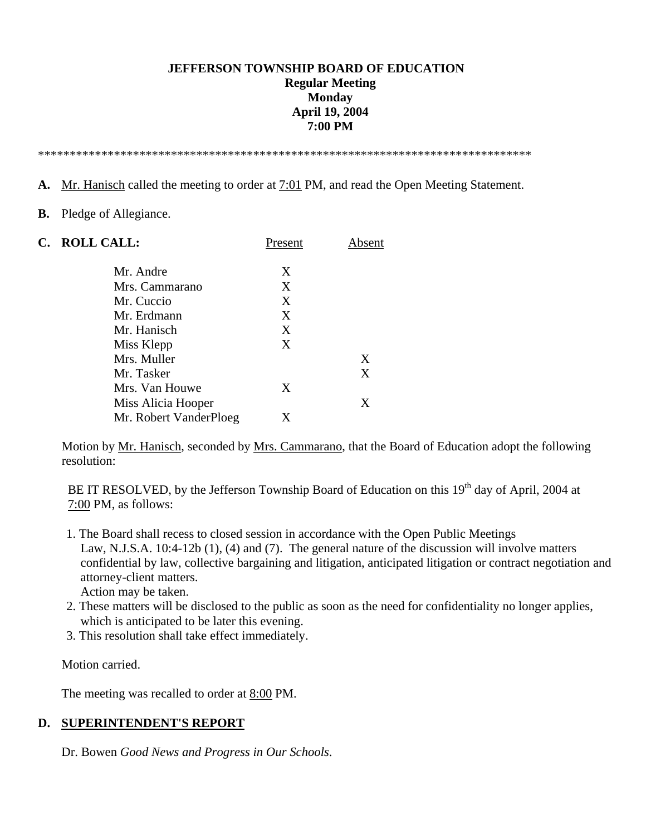#### **JEFFERSON TOWNSHIP BOARD OF EDUCATION Regular Meeting Monday April 19, 2004 7:00 PM**

\*\*\*\*\*\*\*\*\*\*\*\*\*\*\*\*\*\*\*\*\*\*\*\*\*\*\*\*\*\*\*\*\*\*\*\*\*\*\*\*\*\*\*\*\*\*\*\*\*\*\*\*\*\*\*\*\*\*\*\*\*\*\*\*\*\*\*\*\*\*\*\*\*\*\*\*\*\*

- **A.** Mr. Hanisch called the meeting to order at 7:01 PM, and read the Open Meeting Statement.
- **B.** Pledge of Allegiance.

| C. | <b>ROLL CALL:</b>      | Present | Absent |
|----|------------------------|---------|--------|
|    | Mr. Andre              | X       |        |
|    | Mrs. Cammarano         | X       |        |
|    | Mr. Cuccio             | X       |        |
|    | Mr. Erdmann            | X       |        |
|    | Mr. Hanisch            | X       |        |
|    | Miss Klepp             | X       |        |
|    | Mrs. Muller            |         | X      |
|    | Mr. Tasker             |         | X      |
|    | Mrs. Van Houwe         | X       |        |
|    | Miss Alicia Hooper     |         | X      |
|    | Mr. Robert VanderPloeg | X       |        |

Motion by Mr. Hanisch, seconded by Mrs. Cammarano, that the Board of Education adopt the following resolution:

BE IT RESOLVED, by the Jefferson Township Board of Education on this 19<sup>th</sup> day of April, 2004 at 7:00 PM, as follows:

 1. The Board shall recess to closed session in accordance with the Open Public Meetings Law, N.J.S.A. 10:4-12b (1), (4) and (7). The general nature of the discussion will involve matters confidential by law, collective bargaining and litigation, anticipated litigation or contract negotiation and attorney-client matters.

Action may be taken.

- 2. These matters will be disclosed to the public as soon as the need for confidentiality no longer applies, which is anticipated to be later this evening.
- 3. This resolution shall take effect immediately.

Motion carried.

The meeting was recalled to order at 8:00 PM.

#### **D. SUPERINTENDENT'S REPORT**

Dr. Bowen *Good News and Progress in Our Schools*.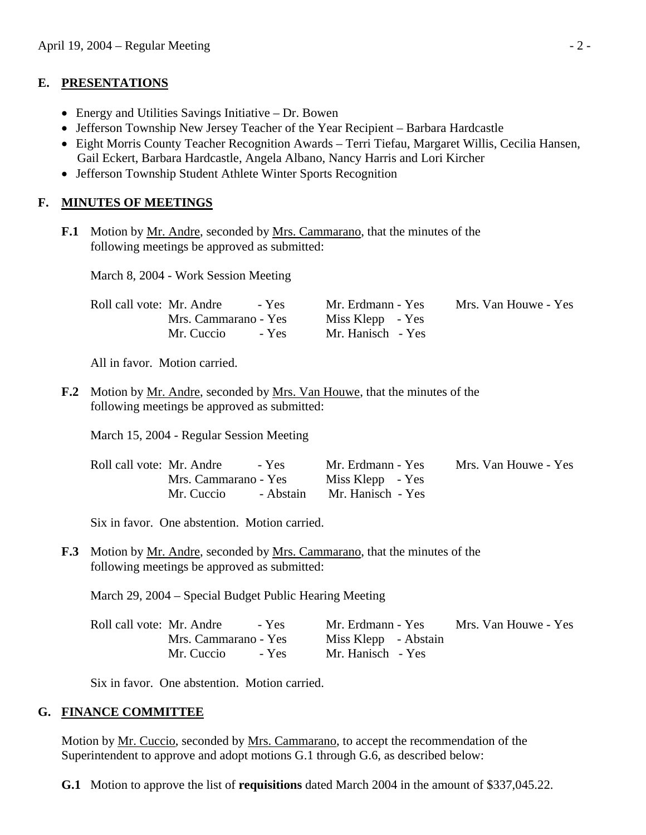#### **E. PRESENTATIONS**

- Energy and Utilities Savings Initiative Dr. Bowen
- Jefferson Township New Jersey Teacher of the Year Recipient Barbara Hardcastle
- Eight Morris County Teacher Recognition Awards Terri Tiefau, Margaret Willis, Cecilia Hansen, Gail Eckert, Barbara Hardcastle, Angela Albano, Nancy Harris and Lori Kircher
- Jefferson Township Student Athlete Winter Sports Recognition

## **F. MINUTES OF MEETINGS**

**F.1** Motion by Mr. Andre, seconded by Mrs. Cammarano, that the minutes of the following meetings be approved as submitted:

March 8, 2004 - Work Session Meeting

| Roll call vote: Mr. Andre<br>- Yes | Mr. Erdmann - Yes | Mrs. Van Houwe - Yes |
|------------------------------------|-------------------|----------------------|
| Mrs. Cammarano - Yes               | Miss Klepp - Yes  |                      |
| - Yes<br>Mr. Cuccio                | Mr. Hanisch - Yes |                      |

All in favor. Motion carried.

**F.2** Motion by Mr. Andre, seconded by Mrs. Van Houwe, that the minutes of the following meetings be approved as submitted:

March 15, 2004 - Regular Session Meeting

| Roll call vote: Mr. Andre<br>- Yes | Mr. Erdmann - Yes           | Mrs. Van Houwe - Yes |
|------------------------------------|-----------------------------|----------------------|
| Mrs. Cammarano - Yes               | Miss Klepp - Yes            |                      |
| Mr. Cuccio                         | - Abstain Mr. Hanisch - Yes |                      |

Six in favor. One abstention. Motion carried.

**F.3** Motion by Mr. Andre, seconded by Mrs. Cammarano, that the minutes of the following meetings be approved as submitted:

March 29, 2004 – Special Budget Public Hearing Meeting

| Roll call vote: Mr. Andre<br>$-$ Yes | Mrs. Van Houwe - Yes<br>Mr. Erdmann - Yes |
|--------------------------------------|-------------------------------------------|
| Mrs. Cammarano - Yes                 | Miss Klepp - Abstain                      |
| $-$ Yes<br>Mr. Cuccio                | Mr. Hanisch - Yes                         |

Six in favor. One abstention. Motion carried.

### **G. FINANCE COMMITTEE**

 Motion by Mr. Cuccio, seconded by Mrs. Cammarano, to accept the recommendation of the Superintendent to approve and adopt motions G.1 through G.6, as described below:

 **G.1** Motion to approve the list of **requisitions** dated March 2004 in the amount of \$337,045.22.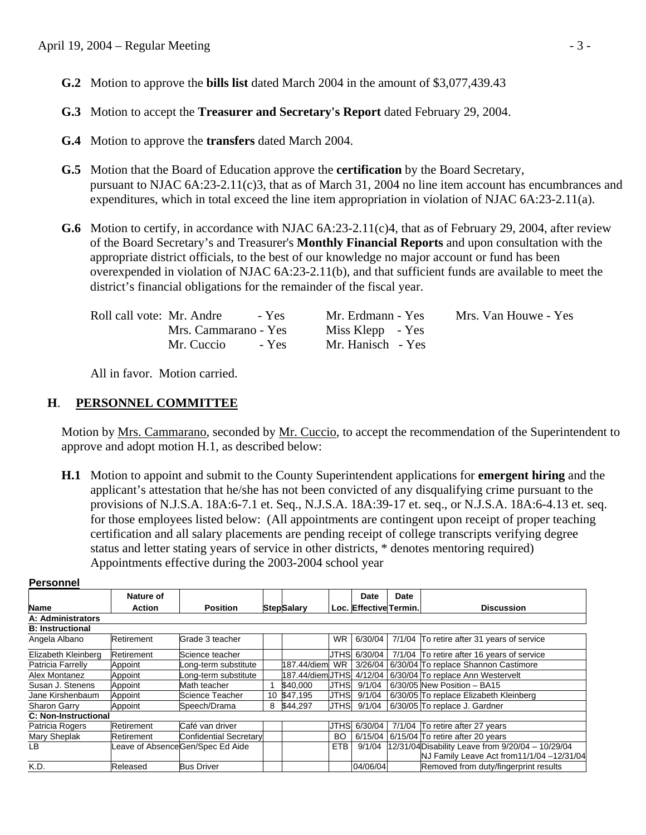- **G.2** Motion to approve the **bills list** dated March 2004 in the amount of \$3,077,439.43
- **G.3** Motion to accept the **Treasurer and Secretary's Report** dated February 29, 2004.
- **G.4** Motion to approve the **transfers** dated March 2004.
- **G.5** Motion that the Board of Education approve the **certification** by the Board Secretary, pursuant to NJAC 6A:23-2.11(c)3, that as of March 31, 2004 no line item account has encumbrances and expenditures, which in total exceed the line item appropriation in violation of NJAC 6A:23-2.11(a).
- **G.6** Motion to certify, in accordance with NJAC 6A:23-2.11(c)4, that as of February 29, 2004, after review of the Board Secretary's and Treasurer's **Monthly Financial Reports** and upon consultation with the appropriate district officials, to the best of our knowledge no major account or fund has been overexpended in violation of NJAC 6A:23-2.11(b), and that sufficient funds are available to meet the district's financial obligations for the remainder of the fiscal year.

| Roll call vote: Mr. Andre<br>- Yes | Mr. Erdmann - Yes | Mrs. Van Houwe - Yes |
|------------------------------------|-------------------|----------------------|
| Mrs. Cammarano - Yes               | Miss Klepp - Yes  |                      |
| Mr. Cuccio<br>$-$ Yes              | Mr. Hanisch - Yes |                      |

All in favor. Motion carried.

### **H**. **PERSONNEL COMMITTEE**

Motion by Mrs. Cammarano, seconded by Mr. Cuccio, to accept the recommendation of the Superintendent to approve and adopt motion H.1, as described below:

 **H.1** Motion to appoint and submit to the County Superintendent applications for **emergent hiring** and the applicant's attestation that he/she has not been convicted of any disqualifying crime pursuant to the provisions of N.J.S.A. 18A:6-7.1 et. Seq., N.J.S.A. 18A:39-17 et. seq., or N.J.S.A. 18A:6-4.13 et. seq. for those employees listed below: (All appointments are contingent upon receipt of proper teaching certification and all salary placements are pending receipt of college transcripts verifying degree status and letter stating years of service in other districts, \* denotes mentoring required) Appointments effective during the 2003-2004 school year

|                             | Nature of     |                                  |   |                         |             | Date                   | Date |                                                                                                 |
|-----------------------------|---------------|----------------------------------|---|-------------------------|-------------|------------------------|------|-------------------------------------------------------------------------------------------------|
| <b>Name</b>                 | <b>Action</b> | <b>Position</b>                  |   | <b>StepSalary</b>       |             | Loc. Effective Termin. |      | <b>Discussion</b>                                                                               |
| A: Administrators           |               |                                  |   |                         |             |                        |      |                                                                                                 |
| <b>B: Instructional</b>     |               |                                  |   |                         |             |                        |      |                                                                                                 |
| Angela Albano               | Retirement    | Grade 3 teacher                  |   |                         | WR.         | 6/30/04                |      | 7/1/04 To retire after 31 years of service                                                      |
| Elizabeth Kleinberg         | Retirement    | Science teacher                  |   |                         |             | JTHS 6/30/04           |      | 7/1/04 To retire after 16 years of service                                                      |
| Patricia Farrelly           | Appoint       | ong-term substitute              |   | 187.44/diem             | <b>WR</b>   | 3/26/04                |      | 6/30/04 To replace Shannon Castimore                                                            |
| Alex Montanez               | Appoint       | ong-term substitute              |   | 187.44/diemUTHSL4/12/04 |             |                        |      | 6/30/04 To replace Ann Westervelt                                                               |
| Susan J. Stenens            | Appoint       | Math teacher                     |   | \$40,000                | <b>JTHS</b> | 9/1/04                 |      | 6/30/05 New Position - BA15                                                                     |
| Jane Kirshenbaum            | Appoint       | Science Teacher                  |   | 10 \$47,195             | JTHS        | 9/1/04                 |      | 6/30/05 To replace Elizabeth Kleinberg                                                          |
| <b>Sharon Garry</b>         | Appoint       | Speech/Drama                     | 8 | \$44.297                | UTHSL       | 9/1/04                 |      | 6/30/05 To replace J. Gardner                                                                   |
| <b>C: Non-Instructional</b> |               |                                  |   |                         |             |                        |      |                                                                                                 |
| Patricia Rogers             | Retirement    | Café van driver                  |   |                         |             | JTHS 6/30/04           |      | 7/1/04 To retire after 27 years                                                                 |
| Mary Sheplak                | Retirement    | Confidential Secretary           |   |                         | <b>BO</b>   | 6/15/04                |      | 6/15/04 To retire after 20 years                                                                |
| LВ                          |               | Leave of AbsenceGen/Spec Ed Aide |   |                         | <b>ETB</b>  | 9/1/04                 |      | 12/31/04 Disability Leave from 9/20/04 - 10/29/04<br>NJ Family Leave Act from 11/1/04 -12/31/04 |
| K.D.                        | Released      | <b>Bus Driver</b>                |   |                         |             | 04/06/04               |      | Removed from duty/fingerprint results                                                           |

#### **Personnel**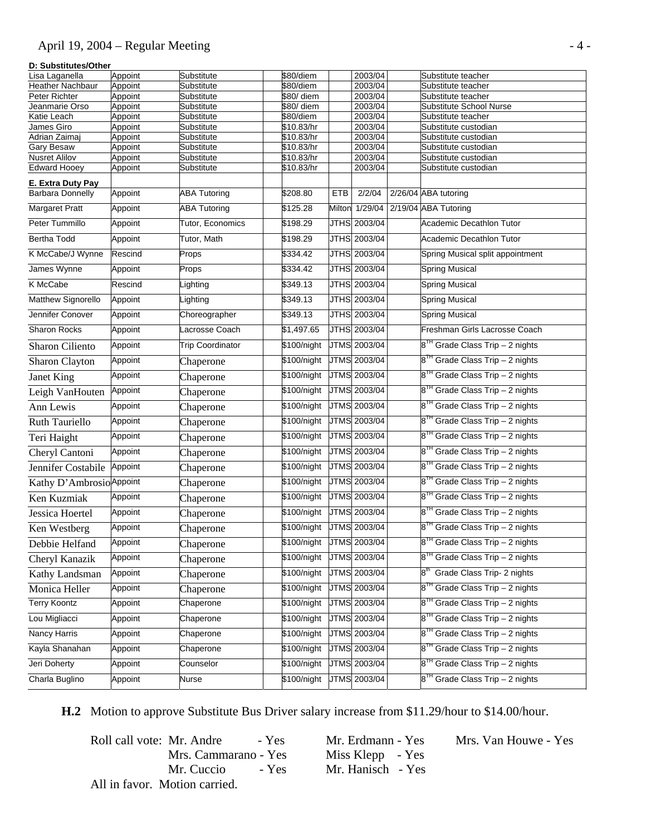## April 19, 2004 – Regular Meeting - 4 -

#### **D: Substitutes/Other**

| Lisa Laganella            | Appoint            | Substitute               | \$80/diem                |        | 2003/04             | Substitute teacher                          |
|---------------------------|--------------------|--------------------------|--------------------------|--------|---------------------|---------------------------------------------|
| Heather Nachbaur          | Appoint            | Substitute               | \$80/diem                |        | 2003/04             | Substitute teacher                          |
| Peter Richter             | Appoint            | Substitute               | \$80/ diem               |        | 2003/04             | Substitute teacher                          |
| Jeanmarie Orso            | Appoint            | Substitute               | $\sqrt{$80/}$ diem       |        | 2003/04             | Substitute School Nurse                     |
| Katie Leach<br>James Giro | Appoint<br>Appoint | Substitute<br>Substitute | \$80/diem<br>\$10.83/hr  |        | 2003/04<br>2003/04  | Substitute teacher<br>Substitute custodian  |
| Adrian Zaimaj             | Appoint            | Substitute               | \$10.83/hr               |        | 2003/04             | Substitute custodian                        |
| <b>Gary Besaw</b>         | Appoint            | Substitute               | \$10.83/hr               |        | 2003/04             | Substitute custodian                        |
| <b>Nusret Alilov</b>      | Appoint            | Substitute               | \$10.83/hr               |        | 2003/04             | Substitute custodian                        |
| <b>Edward Hooey</b>       | Appoint            | Substitute               | \$10.83/hr               |        | 2003/04             | Substitute custodian                        |
| E. Extra Duty Pay         |                    |                          |                          |        |                     |                                             |
| <b>Barbara Donnelly</b>   | Appoint            | <b>ABA Tutoring</b>      | \$208.80                 | ETB    | 2/2/04              | 2/26/04 ABA tutoring                        |
| Margaret Pratt            | Appoint            | <b>ABA Tutoring</b>      | \$125.28                 | Milton | 1/29/04             | 2/19/04 ABA Tutoring                        |
| Peter Tummillo            | Appoint            | Tutor, Economics         | \$198.29                 |        | JTHS 2003/04        | Academic Decathlon Tutor                    |
| Bertha Todd               | Appoint            | Tutor, Math              | \$198.29                 |        | JTHS 2003/04        | <b>Academic Decathlon Tutor</b>             |
| K McCabe/J Wynne          | Rescind            | Props                    | \$334.42                 |        | JTHS 2003/04        | Spring Musical split appointment            |
| James Wynne               | Appoint            | Props                    | \$334.42                 |        | JTHS 2003/04        | <b>Spring Musical</b>                       |
| K McCabe                  | Rescind            | ighting                  | \$349.13                 |        | JTHS 2003/04        | <b>Spring Musical</b>                       |
| Matthew Signorello        | Appoint            | ighting                  | \$349.13                 |        | JTHS 2003/04        | <b>Spring Musical</b>                       |
| Jennifer Conover          | Appoint            | Choreographer            | \$349.13                 |        | JTHS 2003/04        | <b>Spring Musical</b>                       |
| Sharon Rocks              | Appoint            | acrosse Coach            | \$1,497.65               |        | JTHS 2003/04        | Freshman Girls Lacrosse Coach               |
| Sharon Ciliento           | Appoint            | <b>Trip Coordinator</b>  | \$100/night              |        | <b>JTMS</b> 2003/04 | 8 <sup>TH</sup> Grade Class Trip - 2 nights |
| Sharon Clayton            | Appoint            | Chaperone                | \$100/night              |        | JTMS 2003/04        | $8TH$ Grade Class Trip – 2 nights           |
| Janet King                | Appoint            | Chaperone                | \$100/night              |        | <b>JTMS</b> 2003/04 | 8 <sup>1H</sup> Grade Class Trip - 2 nights |
| Leigh VanHouten           | Appoint            | Chaperone                | \$100/night              |        | JTMS 2003/04        | 8 <sup>TH</sup> Grade Class Trip - 2 nights |
| Ann Lewis                 | Appoint            | Chaperone                | \$100/night              |        | JTMS 2003/04        | 8 <sup>TH</sup> Grade Class Trip - 2 nights |
| Ruth Tauriello            | Appoint            | Chaperone                | \$100/night              |        | JTMS 2003/04        | 8 <sup>1H</sup> Grade Class Trip - 2 nights |
| Teri Haight               | Appoint            | Chaperone                | \$100/night              |        | JTMS 2003/04        | $8TH$ Grade Class Trip – 2 nights           |
| Cheryl Cantoni            | Appoint            | Chaperone                | \$100/night              |        | JTMS 2003/04        | 8 <sup>1H</sup> Grade Class Trip - 2 nights |
| Jennifer Costabile        | Appoint            | Chaperone                | \$100/night              |        | JTMS 2003/04        | 8 <sup>TH</sup> Grade Class Trip - 2 nights |
| Kathy D'Ambrosio Appoint  |                    | Chaperone                | \$100/night              |        | JTMS 2003/04        | $8TH$ Grade Class Trip – 2 nights           |
| Ken Kuzmiak               | Appoint            | Chaperone                | \$100/night              |        | JTMS 2003/04        | 8 <sup>1H</sup> Grade Class Trip - 2 nights |
| Jessica Hoertel           | Appoint            | Chaperone                | \$100/night              |        | JTMS 2003/04        | $8TH$ Grade Class Trip – 2 nights           |
| Ken Westberg              | Appoint            | Chaperone                | \$100/night              |        | JTMS 2003/04        | 8 <sup>1H</sup> Grade Class Trip - 2 nights |
| Debbie Helfand            | Appoint            | Chaperone                | \$100/night JTMS 2003/04 |        |                     | 8 <sup>TH</sup> Grade Class Trip - 2 nights |
| Cheryl Kanazik            | Appoint            | Chaperone                | \$100/night              |        | JTMS 2003/04        | 8 <sup>TH</sup> Grade Class Trip - 2 nights |
| Kathy Landsman            | Appoint            | Chaperone                | \$100/night              |        | JTMS 2003/04        | 8 <sup>th</sup> Grade Class Trip- 2 nights  |
| Monica Heller             | Appoint            | Chaperone                | \$100/night              |        | JTMS 2003/04        | $8TH$ Grade Class Trip – 2 nights           |
| <b>Terry Koontz</b>       | Appoint            | Chaperone                | \$100/night              |        | <b>JTMS</b> 2003/04 | 8 <sup>TH</sup> Grade Class Trip - 2 nights |
| Lou Migliacci             | Appoint            | Chaperone                | \$100/night              |        | JTMS 2003/04        | 8 <sup>TH</sup> Grade Class Trip - 2 nights |
| Nancy Harris              | Appoint            | Chaperone                | \$100/night              |        | <b>JTMS</b> 2003/04 | 8 <sup>TH</sup> Grade Class Trip - 2 nights |
| Kayla Shanahan            | Appoint            | Chaperone                | \$100/night              |        | JTMS 2003/04        | 8 <sup>TH</sup> Grade Class Trip - 2 nights |
| Jeri Doherty              | Appoint            | Counselor                | \$100/night              |        | <b>JTMS</b> 2003/04 | $8TH$ Grade Class Trip – 2 nights           |
| Charla Buglino            | Appoint            | Nurse                    | \$100/night              |        | <b>JTMS</b> 2003/04 | 8 <sup>TH</sup> Grade Class Trip - 2 nights |

 **H.2** Motion to approve Substitute Bus Driver salary increase from \$11.29/hour to \$14.00/hour.

Roll call vote: Mr. Andre - Yes Mr. Erdmann - Yes Mrs. Van Houwe - Yes Mrs. Cammarano - Yes Miss Klepp - Yes Mrs. Cammarano - Yes Mr. Cuccio - Yes Mr. Hanisch - Yes All in favor. Motion carried.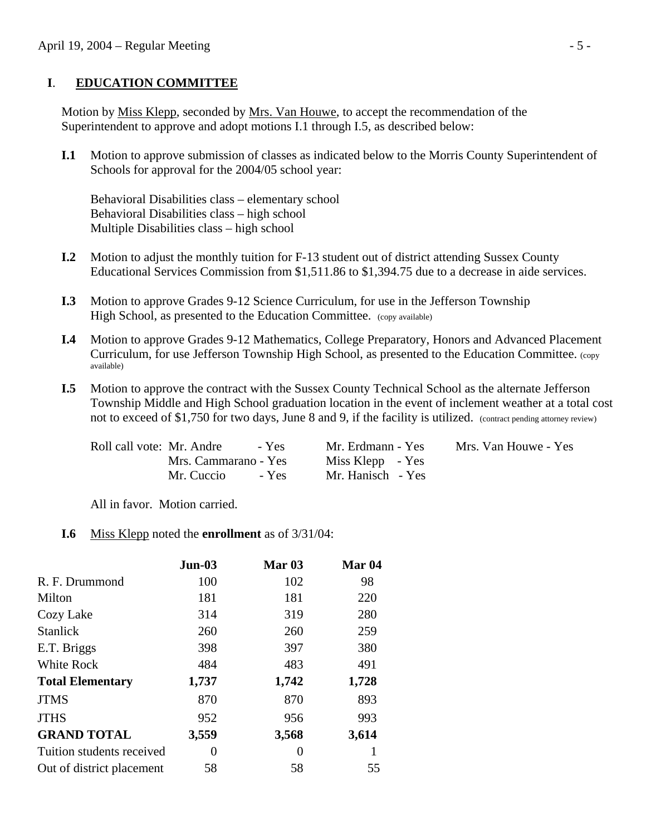### **I**. **EDUCATION COMMITTEE**

 Motion by Miss Klepp, seconded by Mrs. Van Houwe, to accept the recommendation of the Superintendent to approve and adopt motions I.1 through I.5, as described below:

 **I.1** Motion to approve submission of classes as indicated below to the Morris County Superintendent of Schools for approval for the 2004/05 school year:

 Behavioral Disabilities class – elementary school Behavioral Disabilities class – high school Multiple Disabilities class – high school

- **I.2** Motion to adjust the monthly tuition for F-13 student out of district attending Sussex County Educational Services Commission from \$1,511.86 to \$1,394.75 due to a decrease in aide services.
- **I.3** Motion to approve Grades 9-12 Science Curriculum, for use in the Jefferson Township High School, as presented to the Education Committee. (copy available)
- **I.4** Motion to approve Grades 9-12 Mathematics, College Preparatory, Honors and Advanced Placement Curriculum, for use Jefferson Township High School, as presented to the Education Committee. (copy available)
- **I.5** Motion to approve the contract with the Sussex County Technical School as the alternate Jefferson Township Middle and High School graduation location in the event of inclement weather at a total cost not to exceed of \$1,750 for two days, June 8 and 9, if the facility is utilized. (contract pending attorney review)

| Roll call vote: Mr. Andre<br>- Yes | Mr. Erdmann - Yes | Mrs. Van Houwe - Yes |
|------------------------------------|-------------------|----------------------|
| Mrs. Cammarano - Yes               | Miss Klepp - Yes  |                      |
| Mr. Cuccio<br>$-$ Yes              | Mr. Hanisch - Yes |                      |

All in favor. Motion carried.

### **I.6** Miss Klepp noted the **enrollment** as of 3/31/04:

|                           | $Jun-03$ | Mar $03$ | Mar <sub>04</sub> |
|---------------------------|----------|----------|-------------------|
| R. F. Drummond            | 100      | 102      | 98                |
| Milton                    | 181      | 181      | 220               |
| Cozy Lake                 | 314      | 319      | 280               |
| <b>Stanlick</b>           | 260      | 260      | 259               |
| E.T. Briggs               | 398      | 397      | 380               |
| White Rock                | 484      | 483      | 491               |
| <b>Total Elementary</b>   | 1,737    | 1,742    | 1,728             |
| <b>JTMS</b>               | 870      | 870      | 893               |
| <b>JTHS</b>               | 952      | 956      | 993               |
| <b>GRAND TOTAL</b>        | 3,559    | 3,568    | 3,614             |
| Tuition students received | 0        | $\theta$ |                   |
| Out of district placement | 58       | 58       | 55                |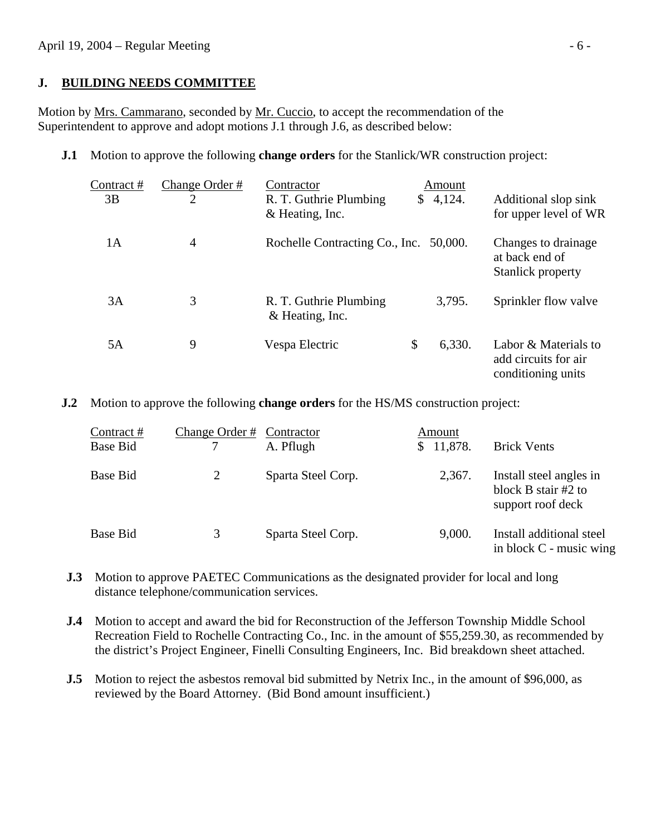### **J. BUILDING NEEDS COMMITTEE**

Motion by Mrs. Cammarano, seconded by Mr. Cuccio, to accept the recommendation of the Superintendent to approve and adopt motions J.1 through J.6, as described below:

**J.1** Motion to approve the following **change orders** for the Stanlick/WR construction project:

| Contract#<br>3B | Change Order #<br>2 | Contractor<br>R. T. Guthrie Plumbing<br>& Heating, Inc. | Amount<br>\$4,124. | Additional slop sink<br>for upper level of WR                      |
|-----------------|---------------------|---------------------------------------------------------|--------------------|--------------------------------------------------------------------|
| 1A              | 4                   | Rochelle Contracting Co., Inc. 50,000.                  |                    | Changes to drainage<br>at back end of<br>Stanlick property         |
| 3A              | 3                   | R. T. Guthrie Plumbing<br>& Heating, Inc.               | 3,795.             | Sprinkler flow valve                                               |
| 5Α              | 9                   | Vespa Electric                                          | \$<br>6,330.       | Labor & Materials to<br>add circuits for air<br>conditioning units |

**J.2** Motion to approve the following **change orders** for the HS/MS construction project:

| Contract#<br><b>Base Bid</b> | Change Order # Contractor | A. Pflugh          | Amount<br>11,878.<br>S. | <b>Brick Vents</b>                                                  |
|------------------------------|---------------------------|--------------------|-------------------------|---------------------------------------------------------------------|
| <b>Base Bid</b>              |                           | Sparta Steel Corp. | 2,367.                  | Install steel angles in<br>block B stair #2 to<br>support roof deck |
| Base Bid                     | 3                         | Sparta Steel Corp. | 9,000.                  | Install additional steel<br>in block C - music wing                 |

**J.3** Motion to approve PAETEC Communications as the designated provider for local and long distance telephone/communication services.

- **J.4** Motion to accept and award the bid for Reconstruction of the Jefferson Township Middle School Recreation Field to Rochelle Contracting Co., Inc. in the amount of \$55,259.30, as recommended by the district's Project Engineer, Finelli Consulting Engineers, Inc. Bid breakdown sheet attached.
- **J.5** Motion to reject the asbestos removal bid submitted by Netrix Inc., in the amount of \$96,000, as reviewed by the Board Attorney. (Bid Bond amount insufficient.)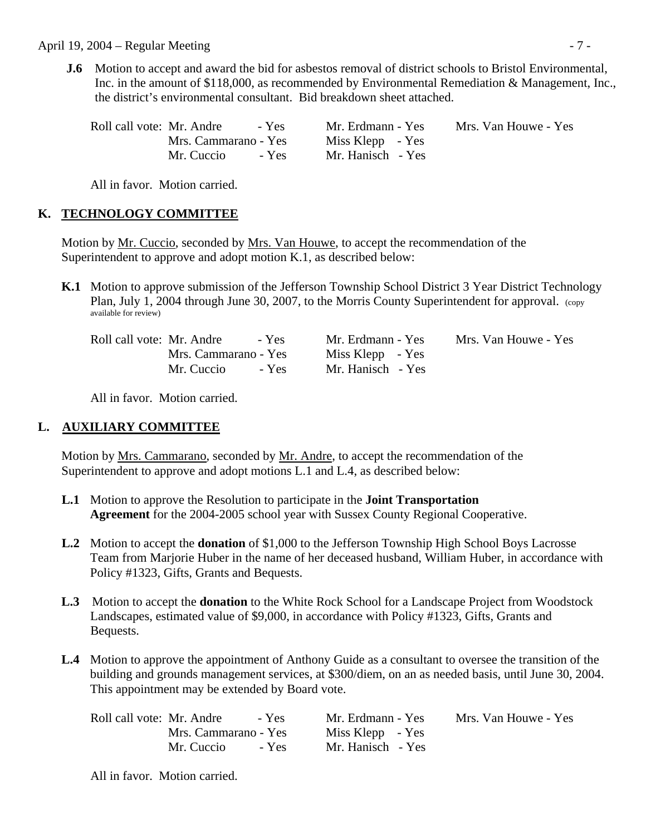April 19, 2004 – Regular Meeting - 7 -

 **J.6** Motion to accept and award the bid for asbestos removal of district schools to Bristol Environmental, Inc. in the amount of \$118,000, as recommended by Environmental Remediation & Management, Inc., the district's environmental consultant. Bid breakdown sheet attached.

| Roll call vote: Mr. Andre<br>- Yes | Mr. Erdmann - Yes | Mrs. Van Houwe - Yes |
|------------------------------------|-------------------|----------------------|
| Mrs. Cammarano - Yes               | Miss Klepp - Yes  |                      |
| $-$ Yes<br>Mr. Cuccio              | Mr. Hanisch - Yes |                      |

All in favor. Motion carried.

### **K. TECHNOLOGY COMMITTEE**

Motion by Mr. Cuccio, seconded by Mrs. Van Houwe, to accept the recommendation of the Superintendent to approve and adopt motion K.1, as described below:

**K.1** Motion to approve submission of the Jefferson Township School District 3 Year District Technology Plan, July 1, 2004 through June 30, 2007, to the Morris County Superintendent for approval. (copy available for review)

| Roll call vote: Mr. Andre |                      | - Yes |
|---------------------------|----------------------|-------|
|                           | Mrs. Cammarano - Yes |       |
|                           | Mr. Cuccio           | - Yes |

Miss Klepp - Yes Mr. Hanisch - Yes

Mr. Erdmann - Yes Mrs. Van Houwe - Yes

All in favor. Motion carried.

### **L. AUXILIARY COMMITTEE**

 Motion by Mrs. Cammarano, seconded by Mr. Andre, to accept the recommendation of the Superintendent to approve and adopt motions L.1 and L.4, as described below:

- **L.1** Motion to approve the Resolution to participate in the **Joint Transportation Agreement** for the 2004-2005 school year with Sussex County Regional Cooperative.
- **L.2** Motion to accept the **donation** of \$1,000 to the Jefferson Township High School Boys Lacrosse Team from Marjorie Huber in the name of her deceased husband, William Huber, in accordance with Policy #1323, Gifts, Grants and Bequests.
- **L.3** Motion to accept the **donation** to the White Rock School for a Landscape Project from Woodstock Landscapes, estimated value of \$9,000, in accordance with Policy #1323, Gifts, Grants and Bequests.
- **L.4** Motion to approve the appointment of Anthony Guide as a consultant to oversee the transition of the building and grounds management services, at \$300/diem, on an as needed basis, until June 30, 2004. This appointment may be extended by Board vote.

| Roll call vote: Mr. Andre<br>- Yes | Mr. Erdmann - Yes | Mrs. Van Houwe - Yes |
|------------------------------------|-------------------|----------------------|
| Mrs. Cammarano - Yes               | Miss Klepp - Yes  |                      |
| - Yes<br>Mr. Cuccio                | Mr. Hanisch - Yes |                      |

All in favor. Motion carried.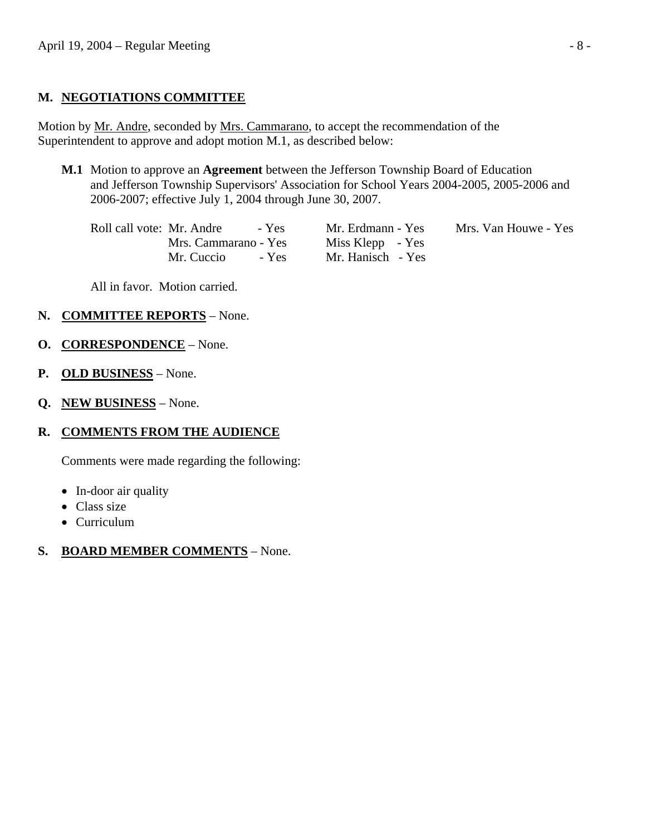# **M. NEGOTIATIONS COMMITTEE**

Motion by Mr. Andre, seconded by Mrs. Cammarano, to accept the recommendation of the Superintendent to approve and adopt motion M.1, as described below:

 **M.1** Motion to approve an **Agreement** between the Jefferson Township Board of Education and Jefferson Township Supervisors' Association for School Years 2004-2005, 2005-2006 and 2006-2007; effective July 1, 2004 through June 30, 2007.

 Roll call vote: Mr. Andre - Yes Mr. Erdmann - Yes Mrs. Van Houwe - Yes Mrs. Cammarano - Yes Miss Klepp - Yes Mr. Cuccio - Yes Mr. Hanisch - Yes

All in favor. Motion carried.

### **N. COMMITTEE REPORTS** – None.

- **O. CORRESPONDENCE** None.
- **P. OLD BUSINESS** None.
- **Q. NEW BUSINESS** None.

# **R. COMMENTS FROM THE AUDIENCE**

Comments were made regarding the following:

- In-door air quality
- Class size
- Curriculum

# **S. BOARD MEMBER COMMENTS** – None.